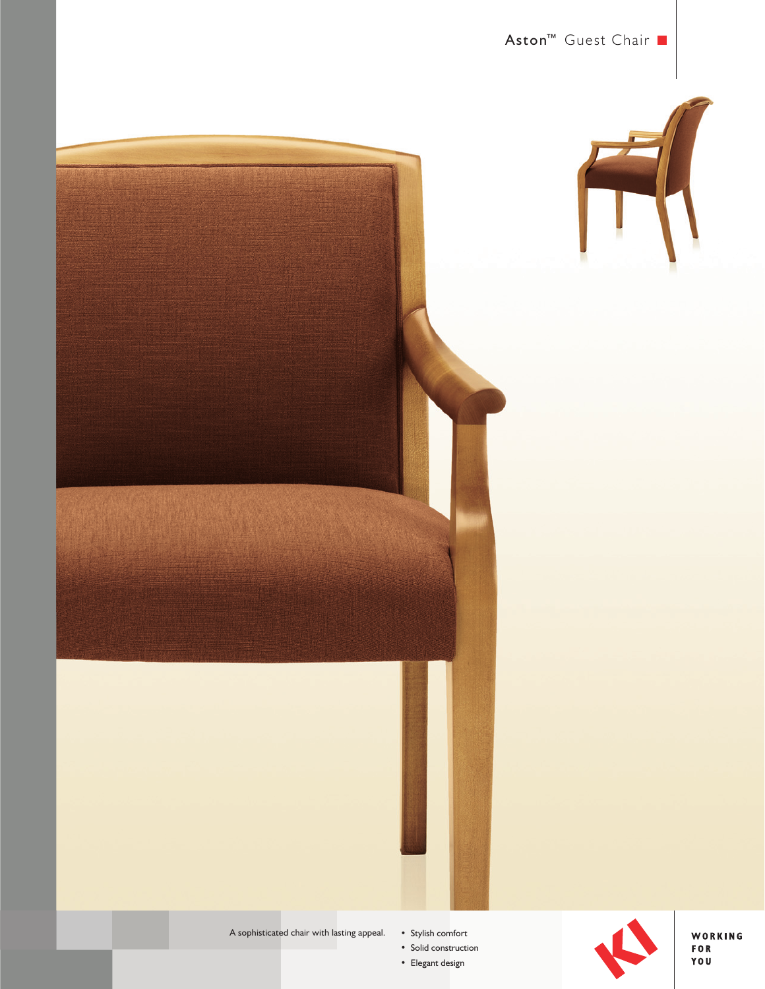





A sophisticated chair with lasting appeal.

• Stylish comfort

• Solid construction • Elegant design



WORKING<br>FOR<br>YOU